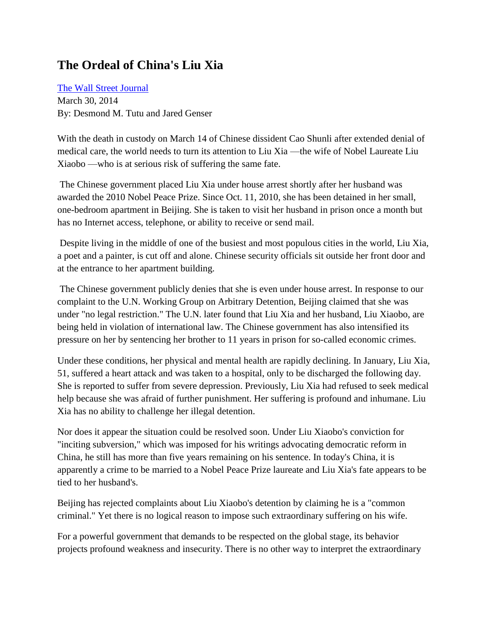## **The Ordeal of China's Liu Xia**

[The Wall Street Journal](http://online.wsj.com/news/articles/SB10001424052702303725404579460961832371076?mg=reno64-wsj&url=http%3A%2F%2Fonline.wsj.com%2Farticle%2FSB10001424052702303725404579460961832371076.html) March 30, 2014 By: Desmond M. Tutu and Jared Genser

With the death in custody on March 14 of Chinese dissident Cao Shunli after extended denial of medical care, the world needs to turn its attention to Liu Xia —the wife of Nobel Laureate Liu Xiaobo —who is at serious risk of suffering the same fate.

The Chinese government placed Liu Xia under house arrest shortly after her husband was awarded the 2010 Nobel Peace Prize. Since Oct. 11, 2010, she has been detained in her small, one-bedroom apartment in Beijing. She is taken to visit her husband in prison once a month but has no Internet access, telephone, or ability to receive or send mail.

Despite living in the middle of one of the busiest and most populous cities in the world, Liu Xia, a poet and a painter, is cut off and alone. Chinese security officials sit outside her front door and at the entrance to her apartment building.

The Chinese government publicly denies that she is even under house arrest. In response to our complaint to the U.N. Working Group on Arbitrary Detention, Beijing claimed that she was under "no legal restriction." The U.N. later found that Liu Xia and her husband, Liu Xiaobo, are being held in violation of international law. The Chinese government has also intensified its pressure on her by sentencing her brother to 11 years in prison for so-called economic crimes.

Under these conditions, her physical and mental health are rapidly declining. In January, Liu Xia, 51, suffered a heart attack and was taken to a hospital, only to be discharged the following day. She is reported to suffer from severe depression. Previously, Liu Xia had refused to seek medical help because she was afraid of further punishment. Her suffering is profound and inhumane. Liu Xia has no ability to challenge her illegal detention.

Nor does it appear the situation could be resolved soon. Under Liu Xiaobo's conviction for "inciting subversion," which was imposed for his writings advocating democratic reform in China, he still has more than five years remaining on his sentence. In today's China, it is apparently a crime to be married to a Nobel Peace Prize laureate and Liu Xia's fate appears to be tied to her husband's.

Beijing has rejected complaints about Liu Xiaobo's detention by claiming he is a "common criminal." Yet there is no logical reason to impose such extraordinary suffering on his wife.

For a powerful government that demands to be respected on the global stage, its behavior projects profound weakness and insecurity. There is no other way to interpret the extraordinary